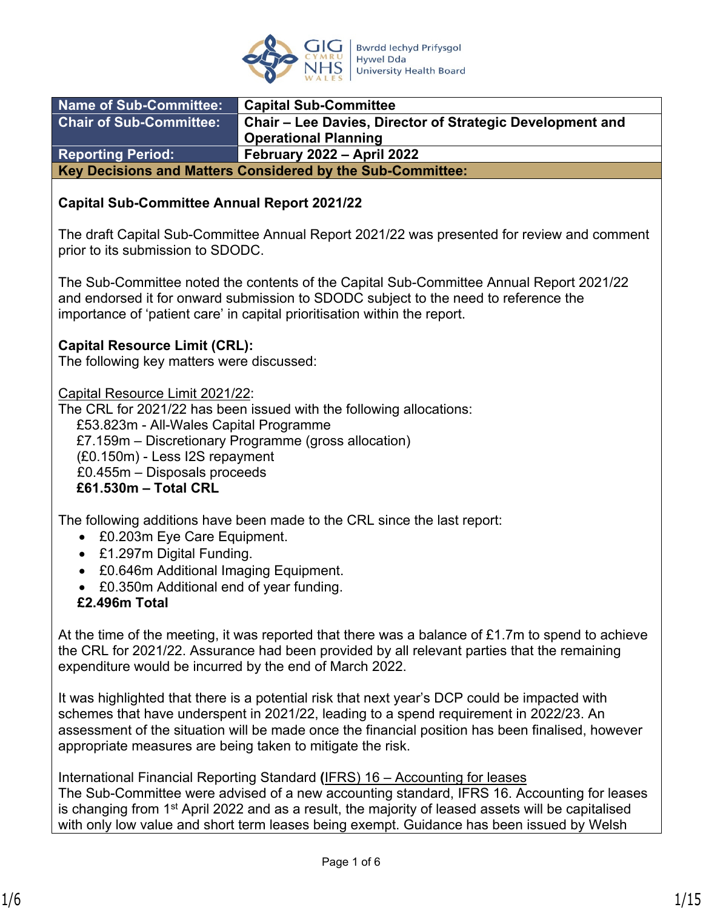

| <b>Name of Sub-Committee:</b>                              | <b>Capital Sub-Committee</b>                                     |  |
|------------------------------------------------------------|------------------------------------------------------------------|--|
| Chair of Sub-Committee:                                    | <b>Chair – Lee Davies, Director of Strategic Development and</b> |  |
|                                                            | <b>Operational Planning</b>                                      |  |
| <b>Reporting Period:</b>                                   | <b>February 2022 - April 2022</b>                                |  |
| Key Decisions and Matters Considered by the Sub-Committee: |                                                                  |  |

#### **Capital Sub-Committee Annual Report 2021/22**

The draft Capital Sub-Committee Annual Report 2021/22 was presented for review and comment prior to its submission to SDODC.

The Sub-Committee noted the contents of the Capital Sub-Committee Annual Report 2021/22 and endorsed it for onward submission to SDODC subject to the need to reference the importance of 'patient care' in capital prioritisation within the report.

#### **Capital Resource Limit (CRL):**

The following key matters were discussed:

Capital Resource Limit 2021/22:

The CRL for 2021/22 has been issued with the following allocations:

£53.823m - All-Wales Capital Programme

£7.159m – Discretionary Programme (gross allocation)

(£0.150m) - Less I2S repayment

£0.455m – Disposals proceeds

**£61.530m – Total CRL** 

The following additions have been made to the CRL since the last report:

- £0.203m Eye Care Equipment.
- £1.297m Digital Funding.
- £0.646m Additional Imaging Equipment.
- £0.350m Additional end of year funding.
- **£2.496m Total**

At the time of the meeting, it was reported that there was a balance of £1.7m to spend to achieve the CRL for 2021/22. Assurance had been provided by all relevant parties that the remaining expenditure would be incurred by the end of March 2022.

It was highlighted that there is a potential risk that next year's DCP could be impacted with schemes that have underspent in 2021/22, leading to a spend requirement in 2022/23. An assessment of the situation will be made once the financial position has been finalised, however appropriate measures are being taken to mitigate the risk.

International Financial Reporting Standard **(**IFRS) 16 – Accounting for leases The Sub-Committee were advised of a new accounting standard, IFRS 16. Accounting for leases is changing from 1<sup>st</sup> April 2022 and as a result, the majority of leased assets will be capitalised with only low value and short term leases being exempt. Guidance has been issued by Welsh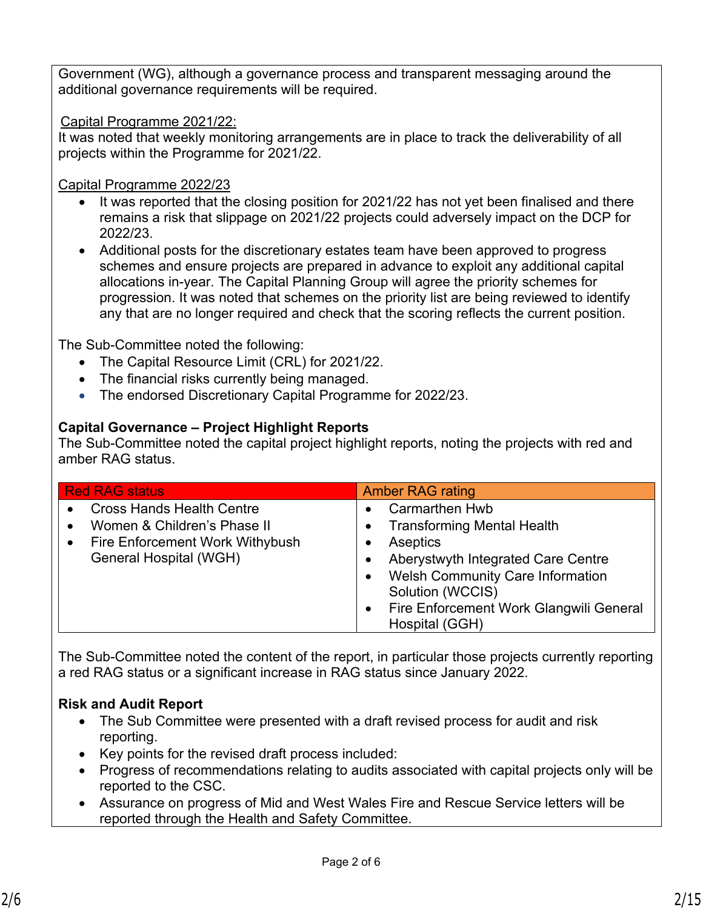Government (WG), although a governance process and transparent messaging around the additional governance requirements will be required.

#### Capital Programme 2021/22:

It was noted that weekly monitoring arrangements are in place to track the deliverability of all projects within the Programme for 2021/22.

#### Capital Programme 2022/23

- It was reported that the closing position for 2021/22 has not yet been finalised and there remains a risk that slippage on 2021/22 projects could adversely impact on the DCP for 2022/23.
- Additional posts for the discretionary estates team have been approved to progress schemes and ensure projects are prepared in advance to exploit any additional capital allocations in-year. The Capital Planning Group will agree the priority schemes for progression. It was noted that schemes on the priority list are being reviewed to identify any that are no longer required and check that the scoring reflects the current position.

The Sub-Committee noted the following:

- The Capital Resource Limit (CRL) for 2021/22.
- The financial risks currently being managed.
- The endorsed Discretionary Capital Programme for 2022/23.

## **Capital Governance – Project Highlight Reports**

The Sub-Committee noted the capital project highlight reports, noting the projects with red and amber RAG status.

| <b>Red RAG status</b>                                                                                                                                               | <b>Amber RAG rating</b>                                                                                                                                                                                                                                            |
|---------------------------------------------------------------------------------------------------------------------------------------------------------------------|--------------------------------------------------------------------------------------------------------------------------------------------------------------------------------------------------------------------------------------------------------------------|
| <b>Cross Hands Health Centre</b><br>$\bullet$<br>Women & Children's Phase II<br>$\bullet$<br>Fire Enforcement Work Withybush<br>$\bullet$<br>General Hospital (WGH) | <b>Carmarthen Hwb</b><br><b>Transforming Mental Health</b><br>Aseptics<br>Aberystwyth Integrated Care Centre<br><b>Welsh Community Care Information</b><br>$\bullet$<br>Solution (WCCIS)<br>Fire Enforcement Work Glangwili General<br>$\bullet$<br>Hospital (GGH) |

The Sub-Committee noted the content of the report, in particular those projects currently reporting a red RAG status or a significant increase in RAG status since January 2022.

## **Risk and Audit Report**

- The Sub Committee were presented with a draft revised process for audit and risk reporting.
- Key points for the revised draft process included:
- Progress of recommendations relating to audits associated with capital projects only will be reported to the CSC.
- Assurance on progress of Mid and West Wales Fire and Rescue Service letters will be reported through the Health and Safety Committee.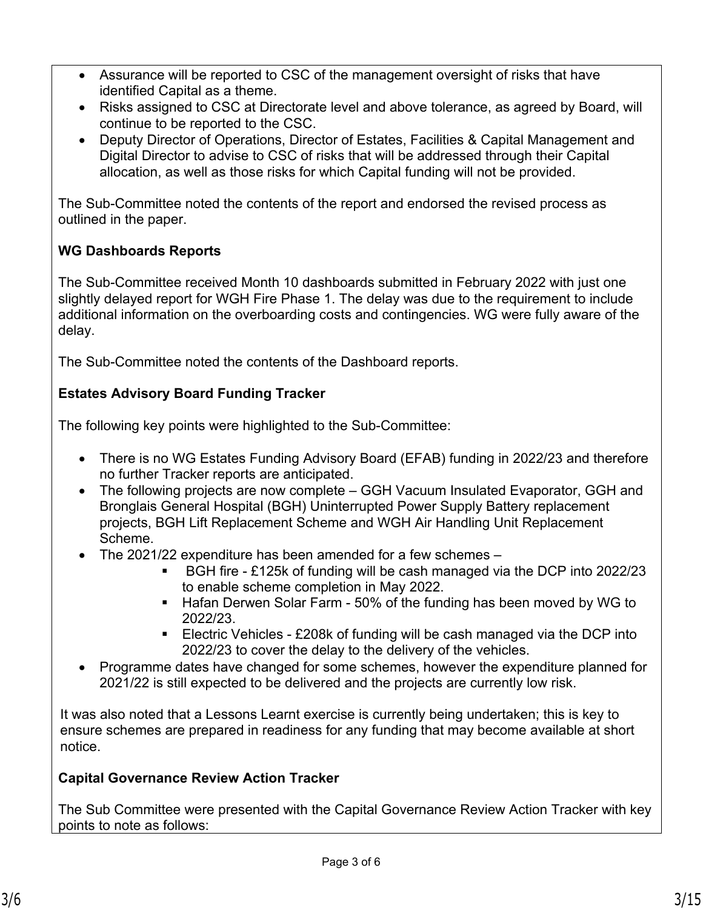- Assurance will be reported to CSC of the management oversight of risks that have identified Capital as a theme.
- Risks assigned to CSC at Directorate level and above tolerance, as agreed by Board, will continue to be reported to the CSC.
- Deputy Director of Operations, Director of Estates, Facilities & Capital Management and Digital Director to advise to CSC of risks that will be addressed through their Capital allocation, as well as those risks for which Capital funding will not be provided.

The Sub-Committee noted the contents of the report and endorsed the revised process as outlined in the paper.

## **WG Dashboards Reports**

The Sub-Committee received Month 10 dashboards submitted in February 2022 with just one slightly delayed report for WGH Fire Phase 1. The delay was due to the requirement to include additional information on the overboarding costs and contingencies. WG were fully aware of the delay.

The Sub-Committee noted the contents of the Dashboard reports.

## **Estates Advisory Board Funding Tracker**

The following key points were highlighted to the Sub-Committee:

- There is no WG Estates Funding Advisory Board (EFAB) funding in 2022/23 and therefore no further Tracker reports are anticipated.
- The following projects are now complete GGH Vacuum Insulated Evaporator, GGH and Bronglais General Hospital (BGH) Uninterrupted Power Supply Battery replacement projects, BGH Lift Replacement Scheme and WGH Air Handling Unit Replacement Scheme.
- The 2021/22 expenditure has been amended for a few schemes
	- BGH fire £125k of funding will be cash managed via the DCP into 2022/23 to enable scheme completion in May 2022.
	- Hafan Derwen Solar Farm 50% of the funding has been moved by WG to 2022/23.
	- **Electric Vehicles £208k of funding will be cash managed via the DCP into** 2022/23 to cover the delay to the delivery of the vehicles.
- Programme dates have changed for some schemes, however the expenditure planned for 2021/22 is still expected to be delivered and the projects are currently low risk.

It was also noted that a Lessons Learnt exercise is currently being undertaken; this is key to ensure schemes are prepared in readiness for any funding that may become available at short notice.

## **Capital Governance Review Action Tracker**

The Sub Committee were presented with the Capital Governance Review Action Tracker with key points to note as follows: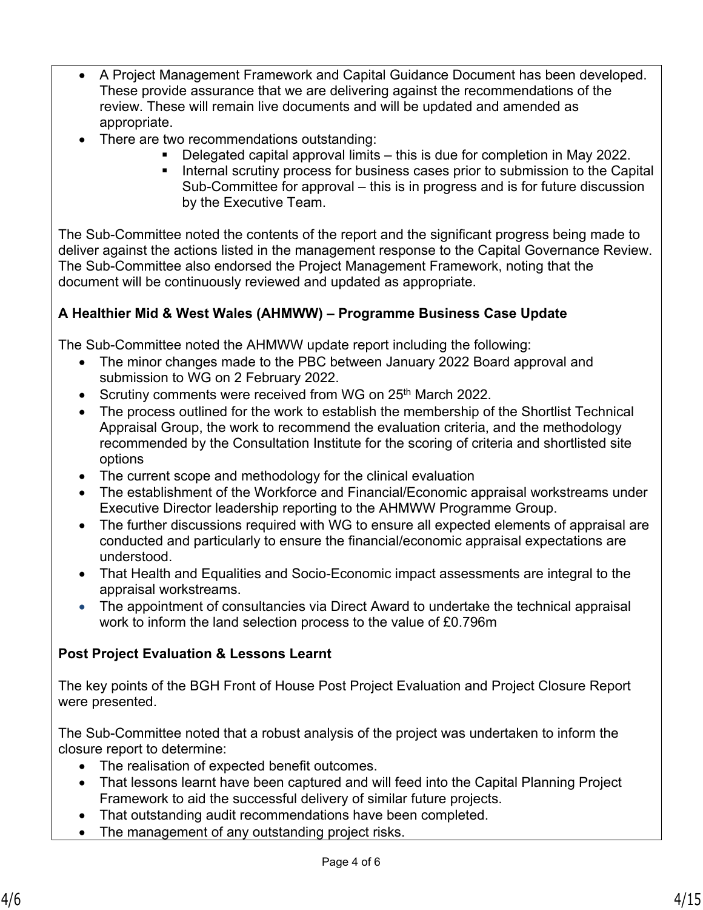- A Project Management Framework and Capital Guidance Document has been developed. These provide assurance that we are delivering against the recommendations of the review. These will remain live documents and will be updated and amended as appropriate.
- There are two recommendations outstanding:
	- Delegated capital approval limits this is due for completion in May 2022.
	- **EXED Internal scrutiny process for business cases prior to submission to the Capital** Sub-Committee for approval – this is in progress and is for future discussion by the Executive Team.

The Sub-Committee noted the contents of the report and the significant progress being made to deliver against the actions listed in the management response to the Capital Governance Review. The Sub-Committee also endorsed the Project Management Framework, noting that the document will be continuously reviewed and updated as appropriate.

### **A Healthier Mid & West Wales (AHMWW) – Programme Business Case Update**

The Sub-Committee noted the AHMWW update report including the following:

- The minor changes made to the PBC between January 2022 Board approval and submission to WG on 2 February 2022.
- Scrutiny comments were received from WG on 25<sup>th</sup> March 2022.
- The process outlined for the work to establish the membership of the Shortlist Technical Appraisal Group, the work to recommend the evaluation criteria, and the methodology recommended by the Consultation Institute for the scoring of criteria and shortlisted site options
- The current scope and methodology for the clinical evaluation
- The establishment of the Workforce and Financial/Economic appraisal workstreams under Executive Director leadership reporting to the AHMWW Programme Group.
- The further discussions required with WG to ensure all expected elements of appraisal are conducted and particularly to ensure the financial/economic appraisal expectations are understood.
- That Health and Equalities and Socio-Economic impact assessments are integral to the appraisal workstreams.
- The appointment of consultancies via Direct Award to undertake the technical appraisal work to inform the land selection process to the value of £0.796m

#### **Post Project Evaluation & Lessons Learnt**

The key points of the BGH Front of House Post Project Evaluation and Project Closure Report were presented.

The Sub-Committee noted that a robust analysis of the project was undertaken to inform the closure report to determine:

- The realisation of expected benefit outcomes.
- That lessons learnt have been captured and will feed into the Capital Planning Project Framework to aid the successful delivery of similar future projects.
- That outstanding audit recommendations have been completed.
- The management of any outstanding project risks.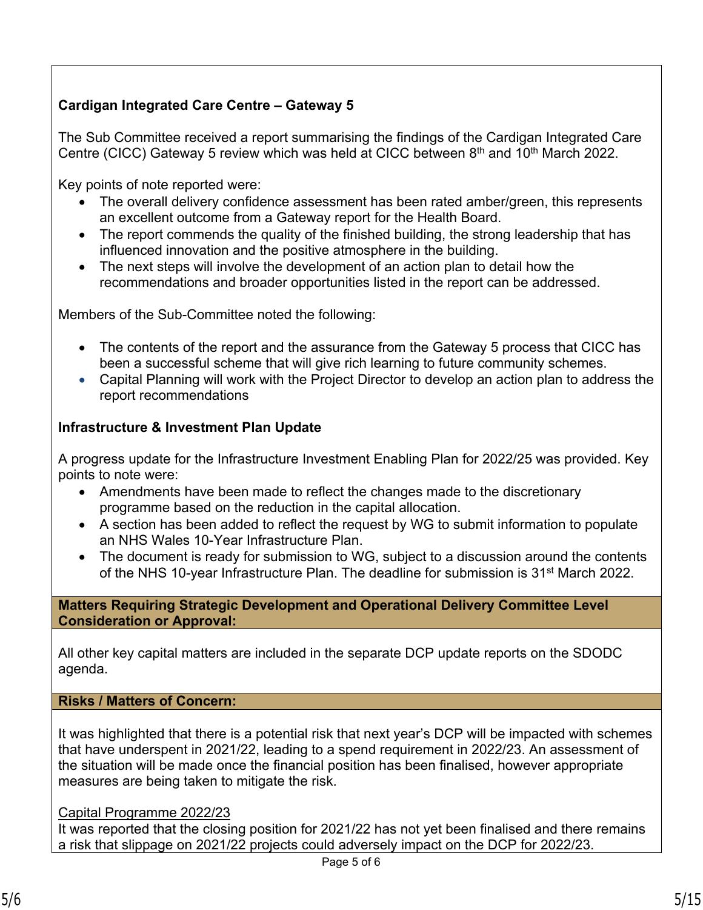## **Cardigan Integrated Care Centre – Gateway 5**

The Sub Committee received a report summarising the findings of the Cardigan Integrated Care Centre (CICC) Gateway 5 review which was held at CICC between  $8<sup>th</sup>$  and  $10<sup>th</sup>$  March 2022.

Key points of note reported were:

- The overall delivery confidence assessment has been rated amber/green, this represents an excellent outcome from a Gateway report for the Health Board.
- The report commends the quality of the finished building, the strong leadership that has influenced innovation and the positive atmosphere in the building.
- The next steps will involve the development of an action plan to detail how the recommendations and broader opportunities listed in the report can be addressed.

Members of the Sub-Committee noted the following:

- The contents of the report and the assurance from the Gateway 5 process that CICC has been a successful scheme that will give rich learning to future community schemes.
- Capital Planning will work with the Project Director to develop an action plan to address the report recommendations

### **Infrastructure & Investment Plan Update**

A progress update for the Infrastructure Investment Enabling Plan for 2022/25 was provided. Key points to note were:

- Amendments have been made to reflect the changes made to the discretionary programme based on the reduction in the capital allocation.
- A section has been added to reflect the request by WG to submit information to populate an NHS Wales 10-Year Infrastructure Plan.
- The document is ready for submission to WG, subject to a discussion around the contents of the NHS 10-year Infrastructure Plan. The deadline for submission is 31st March 2022.

#### **Matters Requiring Strategic Development and Operational Delivery Committee Level Consideration or Approval:**

All other key capital matters are included in the separate DCP update reports on the SDODC agenda.

#### **Risks / Matters of Concern:**

It was highlighted that there is a potential risk that next year's DCP will be impacted with schemes that have underspent in 2021/22, leading to a spend requirement in 2022/23. An assessment of the situation will be made once the financial position has been finalised, however appropriate measures are being taken to mitigate the risk.

#### Capital Programme 2022/23

It was reported that the closing position for 2021/22 has not yet been finalised and there remains a risk that slippage on 2021/22 projects could adversely impact on the DCP for 2022/23.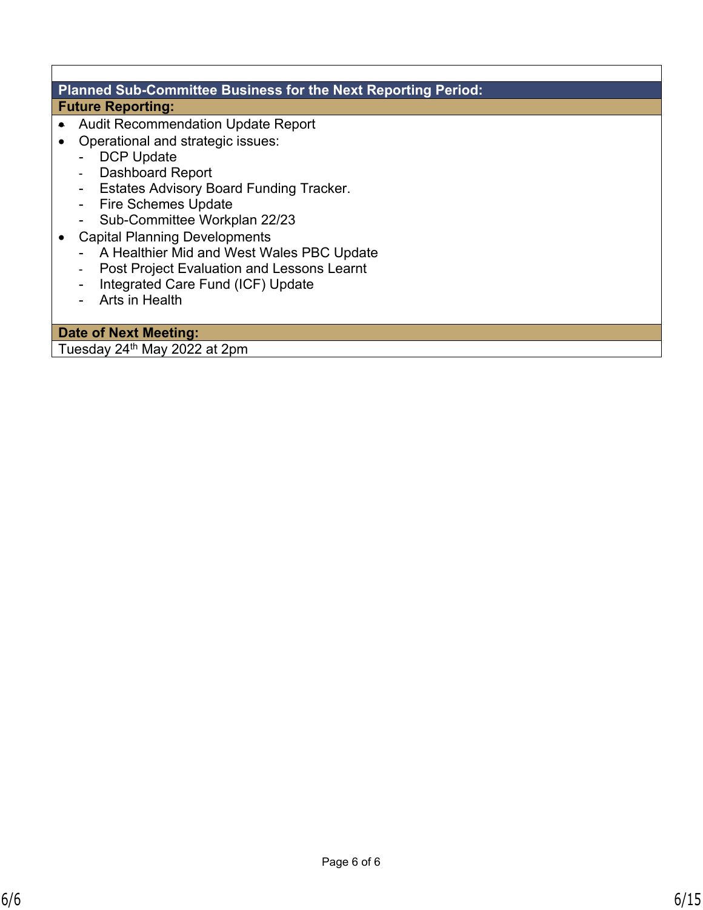#### **Planned Sub-Committee Business for the Next Reporting Period: Future Reporting:**

- Audit Recommendation Update Report
- Operational and strategic issues:
	- DCP Update
	- Dashboard Report
	- Estates Advisory Board Funding Tracker.
	- Fire Schemes Update
	- Sub-Committee Workplan 22/23
- Capital Planning Developments
	- A Healthier Mid and West Wales PBC Update
	- Post Project Evaluation and Lessons Learnt
	- Integrated Care Fund (ICF) Update
	- Arts in Health

**Date of Next Meeting:**  Tuesday 24th May 2022 at 2pm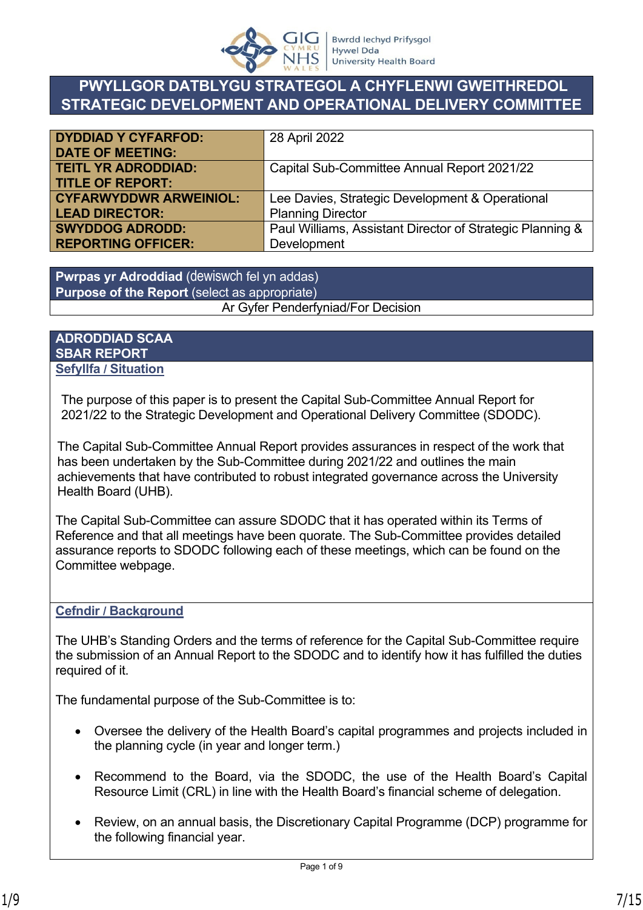

# **PWYLLGOR DATBLYGU STRATEGOL A CHYFLENWI GWEITHREDOL STRATEGIC DEVELOPMENT AND OPERATIONAL DELIVERY COMMITTEE**

| <b>DYDDIAD Y CYFARFOD:</b>    | 28 April 2022                                             |
|-------------------------------|-----------------------------------------------------------|
| <b>DATE OF MEETING:</b>       |                                                           |
| <b>TEITL YR ADRODDIAD:</b>    | Capital Sub-Committee Annual Report 2021/22               |
| <b>TITLE OF REPORT:</b>       |                                                           |
| <b>CYFARWYDDWR ARWEINIOL:</b> | Lee Davies, Strategic Development & Operational           |
| <b>LEAD DIRECTOR:</b>         | <b>Planning Director</b>                                  |
| <b>SWYDDOG ADRODD:</b>        | Paul Williams, Assistant Director of Strategic Planning & |
| <b>REPORTING OFFICER:</b>     | Development                                               |

**Pwrpas yr Adroddiad** (dewiswch fel yn addas) **Purpose of the Report** (select as appropriate) Ar Gyfer Penderfyniad/For Decision

#### **ADRODDIAD SCAA SBAR REPORT Sefyllfa / Situation**

The purpose of this paper is to present the Capital Sub-Committee Annual Report for 2021/22 to the Strategic Development and Operational Delivery Committee (SDODC).

The Capital Sub-Committee Annual Report provides assurances in respect of the work that has been undertaken by the Sub-Committee during 2021/22 and outlines the main achievements that have contributed to robust integrated governance across the University Health Board (UHB).

The Capital Sub-Committee can assure SDODC that it has operated within its Terms of Reference and that all meetings have been quorate. The Sub-Committee provides detailed assurance reports to SDODC following each of these meetings, which can be found on the Committee webpage.

#### **Cefndir / Background**

The UHB's Standing Orders and the terms of reference for the Capital Sub-Committee require the submission of an Annual Report to the SDODC and to identify how it has fulfilled the duties required of it.

The fundamental purpose of the Sub-Committee is to:

- Oversee the delivery of the Health Board's capital programmes and projects included in the planning cycle (in year and longer term.)
- Recommend to the Board, via the SDODC, the use of the Health Board's Capital Resource Limit (CRL) in line with the Health Board's financial scheme of delegation.
- Review, on an annual basis, the Discretionary Capital Programme (DCP) programme for the following financial year.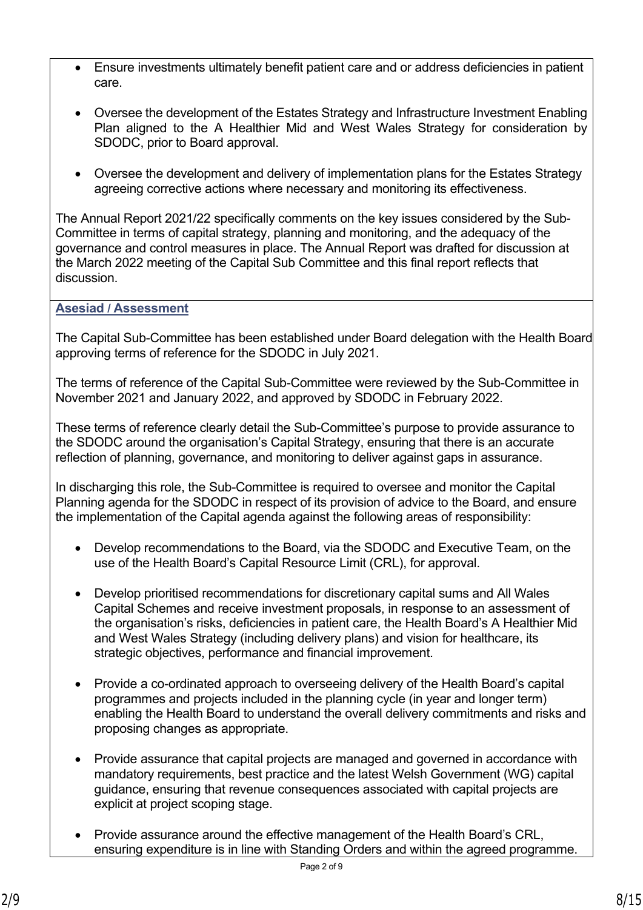- Ensure investments ultimately benefit patient care and or address deficiencies in patient care.
- Oversee the development of the Estates Strategy and Infrastructure Investment Enabling Plan aligned to the A Healthier Mid and West Wales Strategy for consideration by SDODC, prior to Board approval.
- Oversee the development and delivery of implementation plans for the Estates Strategy agreeing corrective actions where necessary and monitoring its effectiveness.

The Annual Report 2021/22 specifically comments on the key issues considered by the Sub-Committee in terms of capital strategy, planning and monitoring, and the adequacy of the governance and control measures in place. The Annual Report was drafted for discussion at the March 2022 meeting of the Capital Sub Committee and this final report reflects that discussion.

#### **Asesiad / Assessment**

The Capital Sub-Committee has been established under Board delegation with the Health Board approving terms of reference for the SDODC in July 2021.

The terms of reference of the Capital Sub-Committee were reviewed by the Sub-Committee in November 2021 and January 2022, and approved by SDODC in February 2022.

These terms of reference clearly detail the Sub-Committee's purpose to provide assurance to the SDODC around the organisation's Capital Strategy, ensuring that there is an accurate reflection of planning, governance, and monitoring to deliver against gaps in assurance.

In discharging this role, the Sub-Committee is required to oversee and monitor the Capital Planning agenda for the SDODC in respect of its provision of advice to the Board, and ensure the implementation of the Capital agenda against the following areas of responsibility:

- Develop recommendations to the Board, via the SDODC and Executive Team, on the use of the Health Board's Capital Resource Limit (CRL), for approval.
- Develop prioritised recommendations for discretionary capital sums and All Wales Capital Schemes and receive investment proposals, in response to an assessment of the organisation's risks, deficiencies in patient care, the Health Board's A Healthier Mid and West Wales Strategy (including delivery plans) and vision for healthcare, its strategic objectives, performance and financial improvement.
- Provide a co-ordinated approach to overseeing delivery of the Health Board's capital programmes and projects included in the planning cycle (in year and longer term) enabling the Health Board to understand the overall delivery commitments and risks and proposing changes as appropriate.
- Provide assurance that capital projects are managed and governed in accordance with mandatory requirements, best practice and the latest Welsh Government (WG) capital guidance, ensuring that revenue consequences associated with capital projects are explicit at project scoping stage.
- Provide assurance around the effective management of the Health Board's CRL, ensuring expenditure is in line with Standing Orders and within the agreed programme.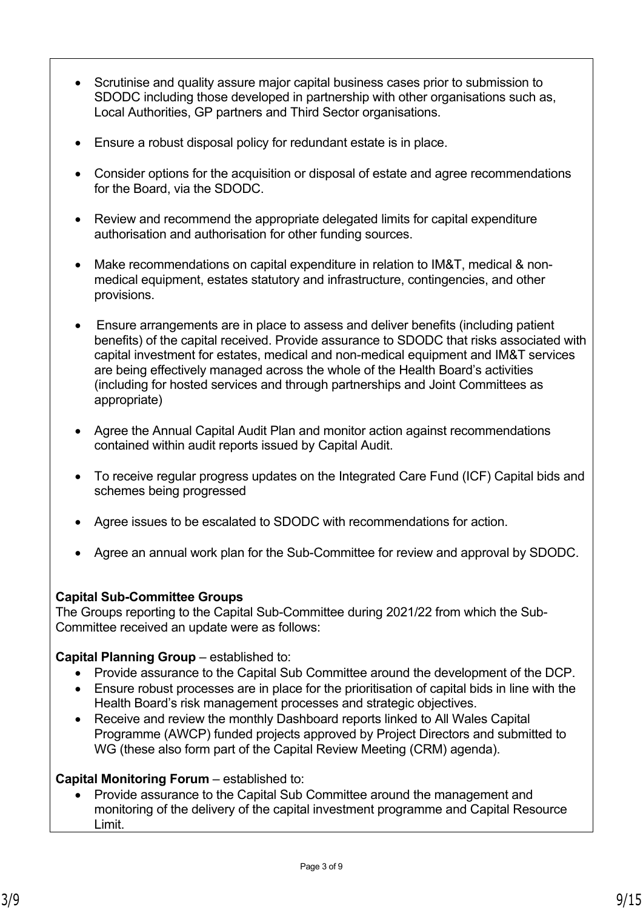- Scrutinise and quality assure major capital business cases prior to submission to SDODC including those developed in partnership with other organisations such as, Local Authorities, GP partners and Third Sector organisations.
- Ensure a robust disposal policy for redundant estate is in place.
- Consider options for the acquisition or disposal of estate and agree recommendations for the Board, via the SDODC.
- Review and recommend the appropriate delegated limits for capital expenditure authorisation and authorisation for other funding sources.
- Make recommendations on capital expenditure in relation to IM&T, medical & nonmedical equipment, estates statutory and infrastructure, contingencies, and other provisions.
- Ensure arrangements are in place to assess and deliver benefits (including patient benefits) of the capital received. Provide assurance to SDODC that risks associated with capital investment for estates, medical and non-medical equipment and IM&T services are being effectively managed across the whole of the Health Board's activities (including for hosted services and through partnerships and Joint Committees as appropriate)
- Agree the Annual Capital Audit Plan and monitor action against recommendations contained within audit reports issued by Capital Audit.
- To receive regular progress updates on the Integrated Care Fund (ICF) Capital bids and schemes being progressed
- Agree issues to be escalated to SDODC with recommendations for action.
- Agree an annual work plan for the Sub-Committee for review and approval by SDODC.

#### **Capital Sub-Committee Groups**

The Groups reporting to the Capital Sub-Committee during 2021/22 from which the Sub-Committee received an update were as follows:

#### **Capital Planning Group** – established to:

- Provide assurance to the Capital Sub Committee around the development of the DCP.
- Ensure robust processes are in place for the prioritisation of capital bids in line with the Health Board's risk management processes and strategic objectives.
- Receive and review the monthly Dashboard reports linked to All Wales Capital Programme (AWCP) funded projects approved by Project Directors and submitted to WG (these also form part of the Capital Review Meeting (CRM) agenda).

#### **Capital Monitoring Forum** – established to:

• Provide assurance to the Capital Sub Committee around the management and monitoring of the delivery of the capital investment programme and Capital Resource Limit.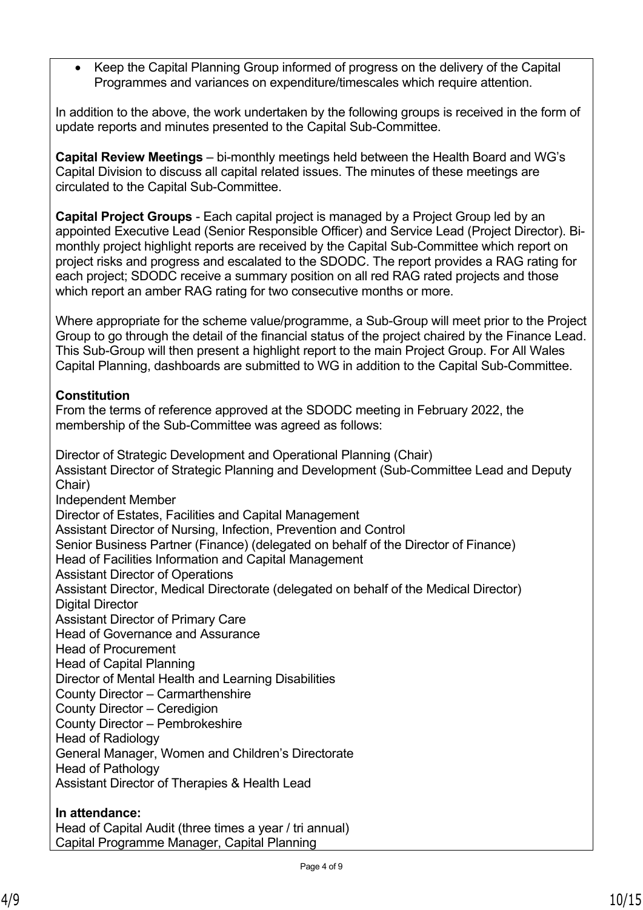• Keep the Capital Planning Group informed of progress on the delivery of the Capital Programmes and variances on expenditure/timescales which require attention.

In addition to the above, the work undertaken by the following groups is received in the form of update reports and minutes presented to the Capital Sub-Committee.

**Capital Review Meetings** – bi-monthly meetings held between the Health Board and WG's Capital Division to discuss all capital related issues. The minutes of these meetings are circulated to the Capital Sub-Committee.

**Capital Project Groups** - Each capital project is managed by a Project Group led by an appointed Executive Lead (Senior Responsible Officer) and Service Lead (Project Director). Bimonthly project highlight reports are received by the Capital Sub-Committee which report on project risks and progress and escalated to the SDODC. The report provides a RAG rating for each project; SDODC receive a summary position on all red RAG rated projects and those which report an amber RAG rating for two consecutive months or more.

Where appropriate for the scheme value/programme, a Sub-Group will meet prior to the Project Group to go through the detail of the financial status of the project chaired by the Finance Lead. This Sub-Group will then present a highlight report to the main Project Group. For All Wales Capital Planning, dashboards are submitted to WG in addition to the Capital Sub-Committee.

#### **Constitution**

From the terms of reference approved at the SDODC meeting in February 2022, the membership of the Sub-Committee was agreed as follows:

Director of Strategic Development and Operational Planning (Chair) Assistant Director of Strategic Planning and Development (Sub-Committee Lead and Deputy Chair) Independent Member Director of Estates, Facilities and Capital Management Assistant Director of Nursing, Infection, Prevention and Control Senior Business Partner (Finance) (delegated on behalf of the Director of Finance) Head of Facilities Information and Capital Management Assistant Director of Operations Assistant Director, Medical Directorate (delegated on behalf of the Medical Director) Digital Director Assistant Director of Primary Care Head of Governance and Assurance Head of Procurement Head of Capital Planning Director of Mental Health and Learning Disabilities County Director – Carmarthenshire County Director – Ceredigion County Director – Pembrokeshire Head of Radiology General Manager, Women and Children's Directorate Head of Pathology Assistant Director of Therapies & Health Lead

## **In attendance:**

Head of Capital Audit (three times a year / tri annual) Capital Programme Manager, Capital Planning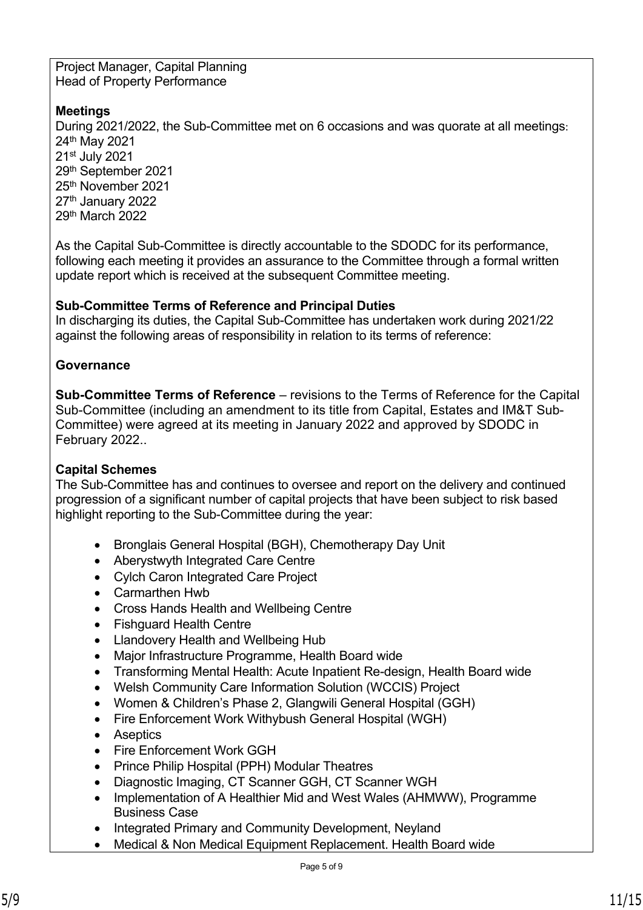Project Manager, Capital Planning Head of Property Performance

### **Meetings**

During 2021/2022, the Sub-Committee met on 6 occasions and was quorate at all meetings: th May 2021 st July 2021 th September 2021 th November 2021 27<sup>th</sup> January 2022 th March 2022

As the Capital Sub-Committee is directly accountable to the SDODC for its performance, following each meeting it provides an assurance to the Committee through a formal written update report which is received at the subsequent Committee meeting.

#### **Sub-Committee Terms of Reference and Principal Duties**

In discharging its duties, the Capital Sub-Committee has undertaken work during 2021/22 against the following areas of responsibility in relation to its terms of reference:

## **Governance**

**Sub-Committee Terms of Reference** – revisions to the Terms of Reference for the Capital Sub-Committee (including an amendment to its title from Capital, Estates and IM&T Sub-Committee) were agreed at its meeting in January 2022 and approved by SDODC in February 2022..

## **Capital Schemes**

The Sub-Committee has and continues to oversee and report on the delivery and continued progression of a significant number of capital projects that have been subject to risk based highlight reporting to the Sub-Committee during the year:

- Bronglais General Hospital (BGH), Chemotherapy Day Unit
- Aberystwyth Integrated Care Centre
- Cylch Caron Integrated Care Project
- Carmarthen Hwb
- Cross Hands Health and Wellbeing Centre
- Fishguard Health Centre
- Llandovery Health and Wellbeing Hub
- Major Infrastructure Programme, Health Board wide
- Transforming Mental Health: Acute Inpatient Re-design, Health Board wide
- Welsh Community Care Information Solution (WCCIS) Project
- Women & Children's Phase 2, Glangwili General Hospital (GGH)
- Fire Enforcement Work Withybush General Hospital (WGH)
- Aseptics
- Fire Enforcement Work GGH
- Prince Philip Hospital (PPH) Modular Theatres
- Diagnostic Imaging, CT Scanner GGH, CT Scanner WGH
- Implementation of A Healthier Mid and West Wales (AHMWW), Programme Business Case
- Integrated Primary and Community Development, Neyland
- Medical & Non Medical Equipment Replacement. Health Board wide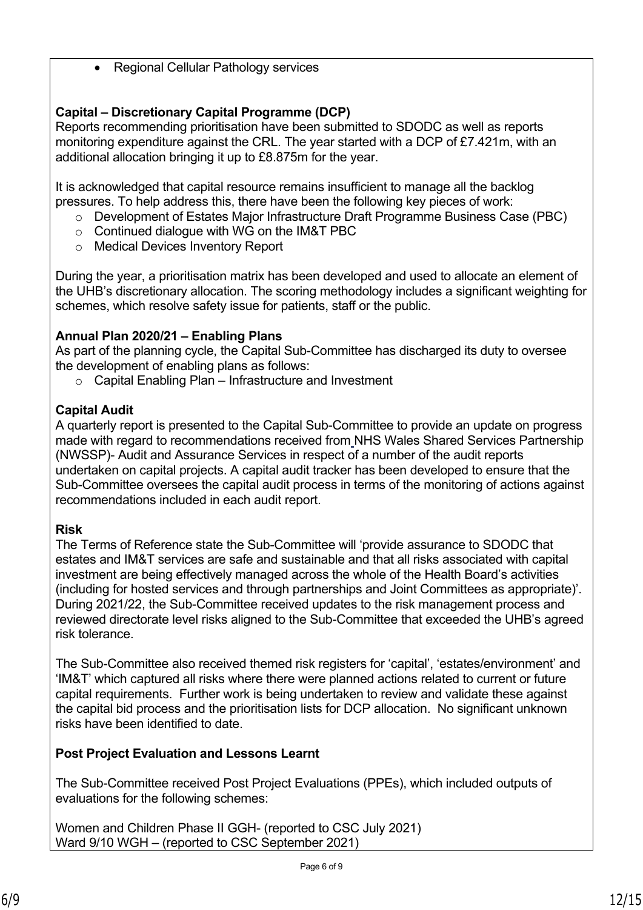• Regional Cellular Pathology services

# **Capital – Discretionary Capital Programme (DCP)**

Reports recommending prioritisation have been submitted to SDODC as well as reports monitoring expenditure against the CRL. The year started with a DCP of £7.421m, with an additional allocation bringing it up to £8.875m for the year.

It is acknowledged that capital resource remains insufficient to manage all the backlog pressures. To help address this, there have been the following key pieces of work:

- o Development of Estates Major Infrastructure Draft Programme Business Case (PBC)
- o Continued dialogue with WG on the IM&T PBC
- o Medical Devices Inventory Report

During the year, a prioritisation matrix has been developed and used to allocate an element of the UHB's discretionary allocation. The scoring methodology includes a significant weighting for schemes, which resolve safety issue for patients, staff or the public.

#### **Annual Plan 2020/21 – Enabling Plans**

As part of the planning cycle, the Capital Sub-Committee has discharged its duty to oversee the development of enabling plans as follows:

o Capital Enabling Plan – Infrastructure and Investment

### **Capital Audit**

A quarterly report is presented to the Capital Sub-Committee to provide an update on progress made with regard to recommendations received from NHS Wales Shared Services Partnership (NWSSP)- Audit and Assurance Services in respect of a number of the audit reports undertaken on capital projects. A capital audit tracker has been developed to ensure that the Sub-Committee oversees the capital audit process in terms of the monitoring of actions against recommendations included in each audit report.

#### **Risk**

The Terms of Reference state the Sub-Committee will 'provide assurance to SDODC that estates and IM&T services are safe and sustainable and that all risks associated with capital investment are being effectively managed across the whole of the Health Board's activities (including for hosted services and through partnerships and Joint Committees as appropriate)'. During 2021/22, the Sub-Committee received updates to the risk management process and reviewed directorate level risks aligned to the Sub-Committee that exceeded the UHB's agreed risk tolerance.

The Sub-Committee also received themed risk registers for 'capital', 'estates/environment' and 'IM&T' which captured all risks where there were planned actions related to current or future capital requirements. Further work is being undertaken to review and validate these against the capital bid process and the prioritisation lists for DCP allocation. No significant unknown risks have been identified to date.

#### **Post Project Evaluation and Lessons Learnt**

The Sub-Committee received Post Project Evaluations (PPEs), which included outputs of evaluations for the following schemes:

Women and Children Phase II GGH- (reported to CSC July 2021) Ward 9/10 WGH – (reported to CSC September 2021)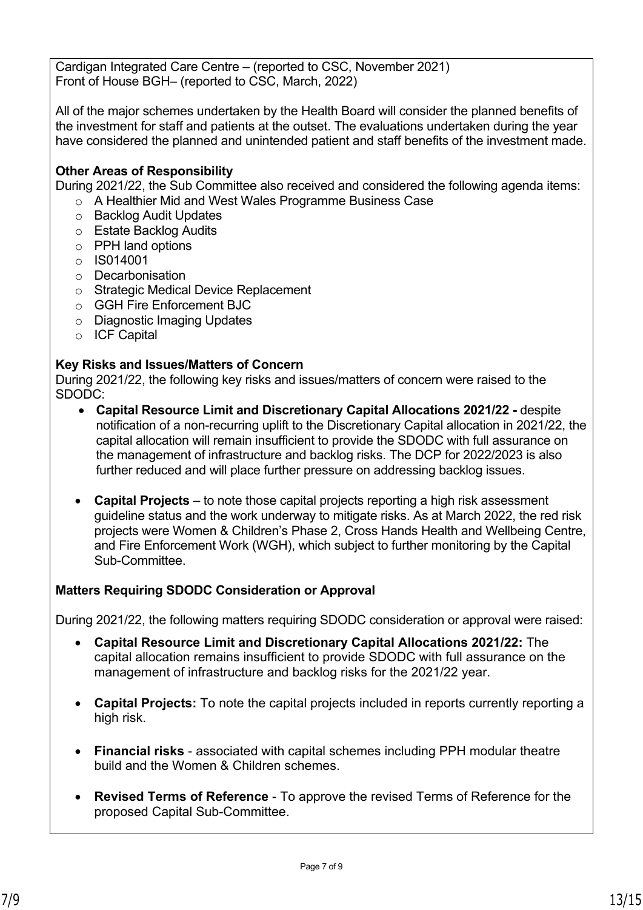Cardigan Integrated Care Centre – (reported to CSC, November 2021) Front of House BGH– (reported to CSC, March, 2022)

All of the major schemes undertaken by the Health Board will consider the planned benefits of the investment for staff and patients at the outset. The evaluations undertaken during the year have considered the planned and unintended patient and staff benefits of the investment made.

### **Other Areas of Responsibility**

During 2021/22, the Sub Committee also received and considered the following agenda items: o A Healthier Mid and West Wales Programme Business Case

- o Backlog Audit Updates
- o Estate Backlog Audits
- o PPH land options
- o IS014001
- o Decarbonisation
- o Strategic Medical Device Replacement
- o GGH Fire Enforcement BJC
- o Diagnostic Imaging Updates
- o ICF Capital

#### **Key Risks and Issues/Matters of Concern**

During 2021/22, the following key risks and issues/matters of concern were raised to the SDODC:

- **Capital Resource Limit and Discretionary Capital Allocations 2021/22** despite notification of a non-recurring uplift to the Discretionary Capital allocation in 2021/22, the capital allocation will remain insufficient to provide the SDODC with full assurance on the management of infrastructure and backlog risks. The DCP for 2022/2023 is also further reduced and will place further pressure on addressing backlog issues.
- **Capital Projects** to note those capital projects reporting a high risk assessment guideline status and the work underway to mitigate risks. As at March 2022, the red risk projects were Women & Children's Phase 2, Cross Hands Health and Wellbeing Centre, and Fire Enforcement Work (WGH), which subject to further monitoring by the Capital Sub-Committee.

#### **Matters Requiring SDODC Consideration or Approval**

During 2021/22, the following matters requiring SDODC consideration or approval were raised:

- **Capital Resource Limit and Discretionary Capital Allocations 2021/22:** The capital allocation remains insufficient to provide SDODC with full assurance on the management of infrastructure and backlog risks for the 2021/22 year.
- **Capital Projects:** To note the capital projects included in reports currently reporting a high risk.
- **Financial risks** associated with capital schemes including PPH modular theatre build and the Women & Children schemes.
- **Revised Terms of Reference** To approve the revised Terms of Reference for the proposed Capital Sub-Committee.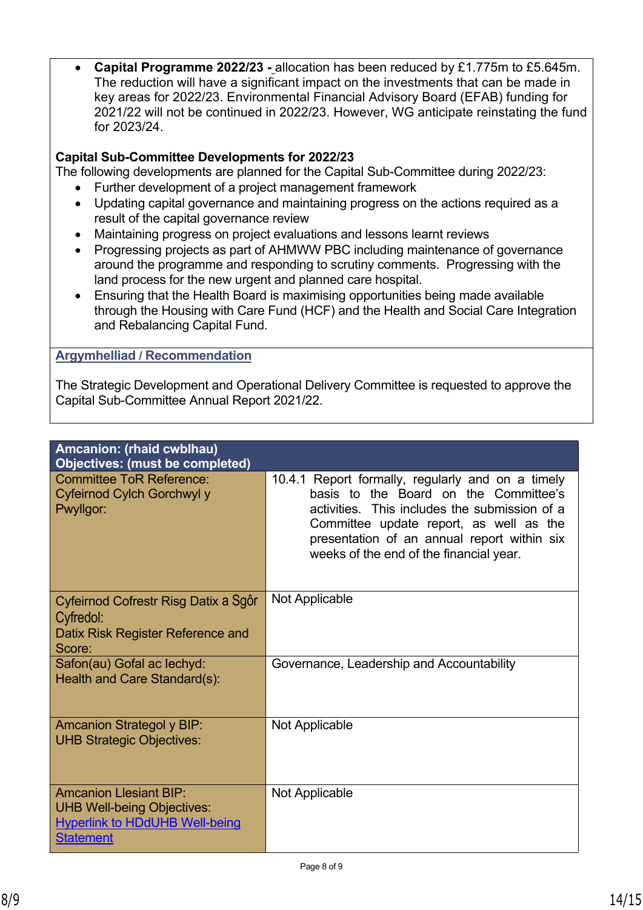• **Capital Programme 2022/23 -** allocation has been reduced by £1.775m to £5.645m. The reduction will have a significant impact on the investments that can be made in key areas for 2022/23. Environmental Financial Advisory Board (EFAB) funding for 2021/22 will not be continued in 2022/23. However, WG anticipate reinstating the fund for 2023/24.

### **Capital Sub-Committee Developments for 2022/23**

The following developments are planned for the Capital Sub-Committee during 2022/23:

- Further development of a project management framework
- Updating capital governance and maintaining progress on the actions required as a result of the capital governance review
- Maintaining progress on project evaluations and lessons learnt reviews
- Progressing projects as part of AHMWW PBC including maintenance of governance around the programme and responding to scrutiny comments. Progressing with the land process for the new urgent and planned care hospital.
- Ensuring that the Health Board is maximising opportunities being made available through the Housing with Care Fund (HCF) and the Health and Social Care Integration and Rebalancing Capital Fund.

#### **Argymhelliad / Recommendation**

The Strategic Development and Operational Delivery Committee is requested to approve the Capital Sub-Committee Annual Report 2021/22.

| Amcanion: (rhaid cwblhau)<br><b>Objectives: (must be completed)</b>                                                             |                                                                                                                                                                                                                                                                                  |
|---------------------------------------------------------------------------------------------------------------------------------|----------------------------------------------------------------------------------------------------------------------------------------------------------------------------------------------------------------------------------------------------------------------------------|
| Committee ToR Reference:<br>Cyfeirnod Cylch Gorchwyl y<br>Pwyllgor:                                                             | 10.4.1 Report formally, regularly and on a timely<br>basis to the Board on the Committee's<br>activities. This includes the submission of a<br>Committee update report, as well as the<br>presentation of an annual report within six<br>weeks of the end of the financial year. |
| Cyfeirnod Cofrestr Risg Datix a Sgôr<br>Cyfredol:<br>Datix Risk Register Reference and<br>Score:                                | Not Applicable                                                                                                                                                                                                                                                                   |
| Safon(au) Gofal ac lechyd:<br>Health and Care Standard(s):                                                                      | Governance, Leadership and Accountability                                                                                                                                                                                                                                        |
| <b>Amcanion Strategol y BIP:</b><br><b>UHB Strategic Objectives:</b>                                                            | Not Applicable                                                                                                                                                                                                                                                                   |
| <b>Amcanion Llesiant BIP:</b><br><b>UHB Well-being Objectives:</b><br><b>Hyperlink to HDdUHB Well-being</b><br><b>Statement</b> | Not Applicable                                                                                                                                                                                                                                                                   |